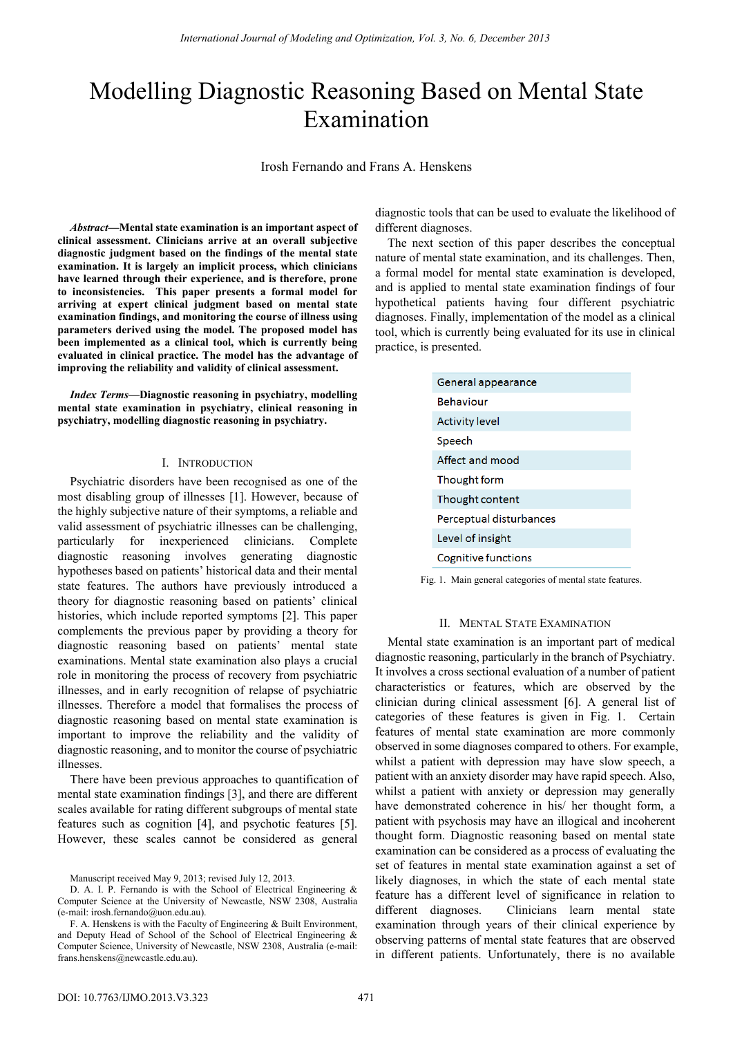# Modelling Diagnostic Reasoning Based on Mental State Examination

Irosh Fernando and Frans A. Henskens

*Abstract***—Mental state examination is an important aspect of clinical assessment. Clinicians arrive at an overall subjective diagnostic judgment based on the findings of the mental state examination. It is largely an implicit process, which clinicians have learned through their experience, and is therefore, prone to inconsistencies. This paper presents a formal model for arriving at expert clinical judgment based on mental state examination findings, and monitoring the course of illness using parameters derived using the model. The proposed model has been implemented as a clinical tool, which is currently being evaluated in clinical practice. The model has the advantage of improving the reliability and validity of clinical assessment.** 

*Index Terms***—Diagnostic reasoning in psychiatry, modelling mental state examination in psychiatry, clinical reasoning in psychiatry, modelling diagnostic reasoning in psychiatry.** 

## I. INTRODUCTION

Psychiatric disorders have been recognised as one of the most disabling group of illnesses [1]. However, because of the highly subjective nature of their symptoms, a reliable and valid assessment of psychiatric illnesses can be challenging, particularly for inexperienced clinicians. Complete diagnostic reasoning involves generating diagnostic hypotheses based on patients' historical data and their mental state features. The authors have previously introduced a theory for diagnostic reasoning based on patients' clinical histories, which include reported symptoms [2]. This paper complements the previous paper by providing a theory for diagnostic reasoning based on patients' mental state examinations. Mental state examination also plays a crucial role in monitoring the process of recovery from psychiatric illnesses, and in early recognition of relapse of psychiatric illnesses. Therefore a model that formalises the process of diagnostic reasoning based on mental state examination is important to improve the reliability and the validity of diagnostic reasoning, and to monitor the course of psychiatric illnesses.

There have been previous approaches to quantification of mental state examination findings [3], and there are different scales available for rating different subgroups of mental state features such as cognition [4], and psychotic features [5]. However, these scales cannot be considered as general

Manuscript received May 9, 2013; revised July 12, 2013.

diagnostic tools that can be used to evaluate the likelihood of different diagnoses.

The next section of this paper describes the conceptual nature of mental state examination, and its challenges. Then, a formal model for mental state examination is developed, and is applied to mental state examination findings of four hypothetical patients having four different psychiatric diagnoses. Finally, implementation of the model as a clinical tool, which is currently being evaluated for its use in clinical practice, is presented.

| General appearance      |
|-------------------------|
| <b>Behaviour</b>        |
| <b>Activity level</b>   |
| Speech                  |
| Affect and mood         |
| Thought form            |
| Thought content         |
| Perceptual disturbances |
| Level of insight        |
| Cognitive functions     |

Fig. 1. Main general categories of mental state features.

## II. MENTAL STATE EXAMINATION

Mental state examination is an important part of medical diagnostic reasoning, particularly in the branch of Psychiatry. It involves a cross sectional evaluation of a number of patient characteristics or features, which are observed by the clinician during clinical assessment [6]. A general list of categories of these features is given in Fig. 1. Certain features of mental state examination are more commonly observed in some diagnoses compared to others. For example, whilst a patient with depression may have slow speech, a patient with an anxiety disorder may have rapid speech. Also, whilst a patient with anxiety or depression may generally have demonstrated coherence in his/ her thought form, a patient with psychosis may have an illogical and incoherent thought form. Diagnostic reasoning based on mental state examination can be considered as a process of evaluating the set of features in mental state examination against a set of likely diagnoses, in which the state of each mental state feature has a different level of significance in relation to different diagnoses. Clinicians learn mental state examination through years of their clinical experience by observing patterns of mental state features that are observed in different patients. Unfortunately, there is no available

D. A. I. P. Fernando is with the School of Electrical Engineering & Computer Science at the University of Newcastle, NSW 2308, Australia (e-mail: irosh.fernando@uon.edu.au).

F. A. Henskens is with the Faculty of Engineering & Built Environment, and Deputy Head of School of the School of Electrical Engineering & Computer Science, University of Newcastle, NSW 2308, Australia (e-mail: frans.henskens@newcastle.edu.au).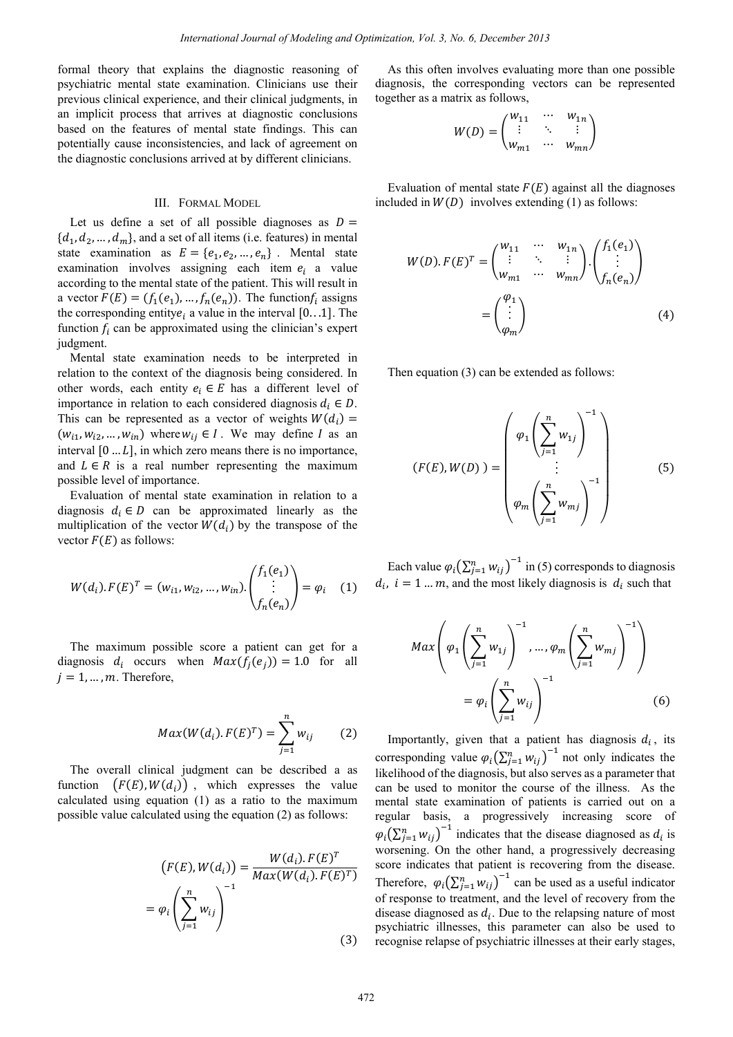formal theory that explains the diagnostic reasoning of psychiatric mental state examination. Clinicians use their previous clinical experience, and their clinical judgments, in an implicit process that arrives at diagnostic conclusions based on the features of mental state findings. This can potentially cause inconsistencies, and lack of agreement on the diagnostic conclusions arrived at by different clinicians.

#### III. FORMAL MODEL

Let us define a set of all possible diagnoses as  $D =$  $\{d_1, d_2, ..., d_m\}$ , and a set of all items (i.e. features) in mental state examination as  $E = \{e_1, e_2, ..., e_n\}$ . Mental state examination involves assigning each item  $e_i$  a value according to the mental state of the patient. This will result in a vector  $F(E) = (f_1(e_1), ..., f_n(e_n))$ . The function $f_i$  assigns the corresponding entity $e_i$  a value in the interval [0...1]. The function  $f_i$  can be approximated using the clinician's expert judgment.

Mental state examination needs to be interpreted in relation to the context of the diagnosis being considered. In other words, each entity  $e_i \in E$  has a different level of importance in relation to each considered diagnosis  $d_i \in D$ . This can be represented as a vector of weights  $W(d_i)$  =  $(w_{i1}, w_{i2}, ..., w_{in})$  where  $w_{ij} \in I$ . We may define *I* as an interval  $[0 \dots L]$ , in which zero means there is no importance, and  $L \in R$  is a real number representing the maximum possible level of importance.

Evaluation of mental state examination in relation to a diagnosis  $d_i \in D$  can be approximated linearly as the multiplication of the vector  $W(d_i)$  by the transpose of the vector  $F(E)$  as follows:

$$
W(d_i). F(E)^T = (w_{i1}, w_{i2}, ..., w_{in}). {f_1(e_1) \choose \vdots}_{f_n(e_n)} = \varphi_i \quad (1)
$$

The maximum possible score a patient can get for a diagnosis  $d_i$  occurs when  $Max(f_i(e_i)) = 1.0$  for all  $j = 1, ..., m$ . Therefore,

$$
Max(W(d_i), F(E)^T) = \sum_{j=1}^{n} w_{ij}
$$
 (2)

The overall clinical judgment can be described a as function  $(F(E), W(d_i))$ , which expresses the value calculated using equation (1) as a ratio to the maximum possible value calculated using the equation (2) as follows:

$$
(F(E), W(d_i)) = \frac{W(d_i). F(E)^T}{Max(W(d_i). F(E)^T)}
$$

$$
= \varphi_i \left( \sum_{j=1}^n w_{ij} \right)^{-1}
$$
(3)

As this often involves evaluating more than one possible diagnosis, the corresponding vectors can be represented together as a matrix as follows,

$$
W(D) = \begin{pmatrix} w_{11} & \cdots & w_{1n} \\ \vdots & \ddots & \vdots \\ w_{m1} & \cdots & w_{mn} \end{pmatrix}
$$

Evaluation of mental state  $F(E)$  against all the diagnoses included in  $W(D)$  involves extending (1) as follows:

$$
W(D). F(E)T = \begin{pmatrix} w_{11} & \cdots & w_{1n} \\ \vdots & \ddots & \vdots \\ w_{m1} & \cdots & w_{mn} \end{pmatrix} \cdot \begin{pmatrix} f_1(e_1) \\ \vdots \\ f_n(e_n) \end{pmatrix}
$$

$$
= \begin{pmatrix} \varphi_1 \\ \vdots \\ \varphi_m \end{pmatrix}
$$
(4)

Then equation (3) can be extended as follows:

$$
(F(E), W(D)) = \begin{pmatrix} \varphi_1 \left( \sum_{j=1}^n w_{1j} \right)^{-1} \\ \vdots \\ \varphi_m \left( \sum_{j=1}^n w_{mj} \right)^{-1} \end{pmatrix}
$$
 (5)

Each value  $\varphi_i(\sum_{j=1}^n w_{ij})^{-1}$  in (5) corresponds to diagnosis  $d_i$ ,  $i = 1 ... m$ , and the most likely diagnosis is  $d_i$  such that

$$
Max\left(\varphi_1\left(\sum_{j=1}^n w_{1j}\right)^{-1}, \dots, \varphi_m\left(\sum_{j=1}^n w_{mj}\right)^{-1}\right)
$$

$$
= \varphi_i\left(\sum_{j=1}^n w_{ij}\right)^{-1}
$$
(6)

Importantly, given that a patient has diagnosis  $d_i$ , its corresponding value  $\varphi_i(\sum_{j=1}^n w_{ij})^{-1}$  not only indicates the likelihood of the diagnosis, but also serves as a parameter that can be used to monitor the course of the illness. As the mental state examination of patients is carried out on a regular basis, a progressively increasing score of  $\varphi_i \left( \sum_{j=1}^n w_{ij} \right)^{-1}$  indicates that the disease diagnosed as  $d_i$  is worsening. On the other hand, a progressively decreasing score indicates that patient is recovering from the disease. Therefore,  $\varphi_i(\sum_{j=1}^n w_{ij})^{-1}$  can be used as a useful indicator of response to treatment, and the level of recovery from the disease diagnosed as  $d_i$ . Due to the relapsing nature of most psychiatric illnesses, this parameter can also be used to recognise relapse of psychiatric illnesses at their early stages,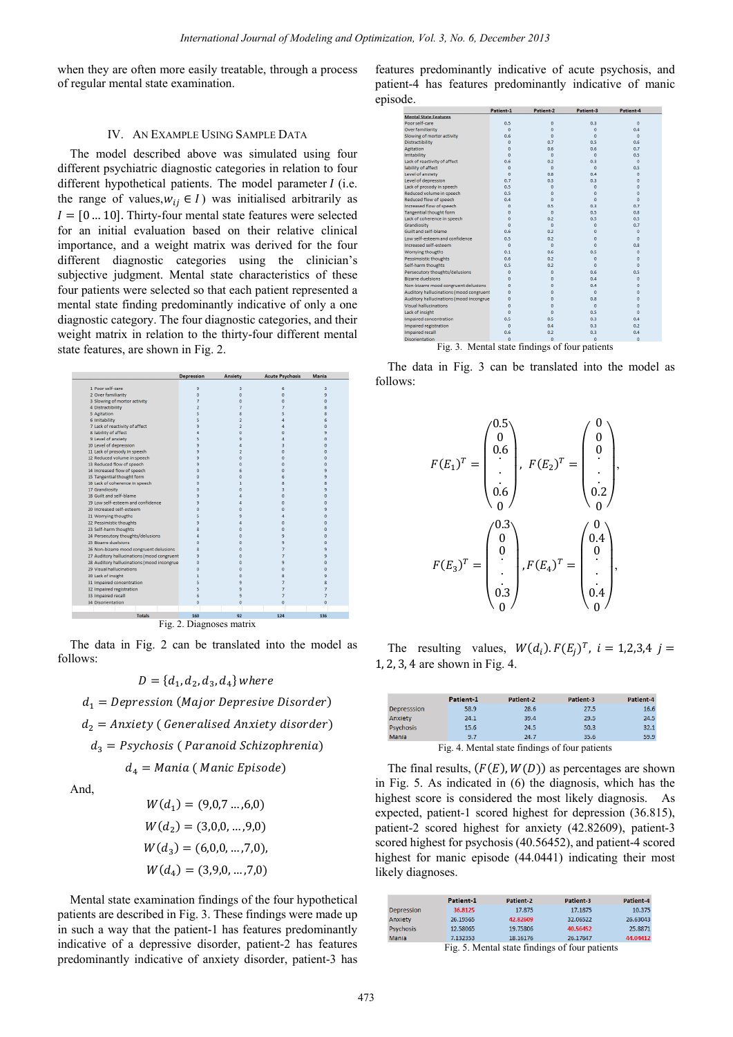when they are often more easily treatable, through a process of regular mental state examination.

#### IV. AN EXAMPLE USING SAMPLE DATA

The model described above was simulated using four different psychiatric diagnostic categories in relation to four different hypothetical patients. The model parameter  $I$  (i.e. the range of values,  $w_{ij} \in I$ ) was initialised arbitrarily as  $I = [0 \dots 10]$ . Thirty-four mental state features were selected for an initial evaluation based on their relative clinical importance, and a weight matrix was derived for the four different diagnostic categories using the clinician's subjective judgment. Mental state characteristics of these four patients were selected so that each patient represented a mental state finding predominantly indicative of only a one diagnostic category. The four diagnostic categories, and their weight matrix in relation to the thirty-four different mental state features, are shown in Fig. 2.

|                           |                                            | Depression     | Anxiety                  | Acute Psycnosis     | Mania                   |
|---------------------------|--------------------------------------------|----------------|--------------------------|---------------------|-------------------------|
| 1 Poor self-care          |                                            | 9              | 3                        | 6                   | 3                       |
| 2 Over familiarity        |                                            | $\mathbf{0}$   | 0                        | $\overline{0}$      | 9                       |
|                           | 3 Slowing of mortor activity               | 7              | O                        | $\overline{0}$      | <sub>0</sub>            |
| 4 Distractibility         |                                            | $\overline{2}$ | 7                        | 7                   | 8                       |
| 5 Agitation               |                                            | 5              | 8                        | 5                   | 8                       |
| 6 Irritability            |                                            | 5              | $\overline{a}$           | 4                   | 6                       |
|                           | 7 Lack of reactivity of affect             | 9              | $\overline{2}$           | 4                   | $\Omega$                |
| 8 lability of affect      |                                            | Δ              | Ō                        | $\overline{0}$      | 9                       |
| 9 Level of anxiety        |                                            | 5              | 9                        | Δ                   | $\overline{0}$          |
| 10 Level of depression    |                                            | 9              | 4                        | 3                   | $\Omega$                |
|                           | 11 Lack of prosody in speech               | 9              | $\overline{2}$           | $\ddot{\mathbf{0}}$ | $\Omega$                |
|                           | 12 Reduced volume in speech                | 9              | o                        | $\overline{0}$      | $\overline{0}$          |
| 13 Reduced flow of speech |                                            | 9              | ö                        | ö                   | $\Omega$                |
|                           | 14 Increased flow of speech                | $\Omega$       | 6                        | $\ddot{\mathbf{0}}$ | 9                       |
|                           | 15 Tangential thought form                 | $\overline{0}$ | o                        | 6                   | 9                       |
|                           | 16 Lack of coherence in speech             | n              | 1                        | 8                   | 8                       |
| 17 Grandiosity            |                                            | $\Omega$       | Ō                        | å                   | 9                       |
| 18 Guilt and self-blame   |                                            | 9              | 4                        | $\overline{0}$      | $\overline{0}$          |
|                           | 19 Low self-esteem and confidence          | 9              | 4                        | $\overline{0}$      | $\mathbf{0}$            |
| 20 Increased self-esteem  |                                            | n              | O                        | o                   | 9                       |
| 21 Worrying thougths      |                                            | 5              | 9                        | Δ                   | $\overline{0}$          |
| 22 Pessimistic thoughts   |                                            | 9              | 4                        | o                   | n                       |
| 23 Self-harm thoughts     |                                            | 8              | n                        | $\mathbf 0$         | $\Omega$                |
|                           | 24 Persecutory thoughts/delusions          | Δ              | n                        | 9                   | o                       |
| 25 Bizarre duelsions      |                                            | $\Omega$       | O                        | ٩                   | $\Omega$                |
|                           | 26 Non-bizarre mood congruent delusions    | 8              | n                        | 7                   | 9                       |
|                           | 27 Auditory hallucinations (mood congruent | 9              | Ō                        | 7                   | 9                       |
|                           | 28 Auditory hallucinations (mood incongrue | $\Omega$       | n                        | q                   | $\Omega$                |
| 29 Visual hallucinations  |                                            | $\mathbf{0}$   | Ō                        | $\overline{0}$      | $\mathbf{0}$            |
| 30 Lack of insight        |                                            | 1              | ö                        | Ŕ                   | 9                       |
| 31 Impaired concentration |                                            | 5              | 9                        | $\overline{7}$      | $\overline{\mathbf{g}}$ |
| 32 Impaired registration  |                                            | 5              | 9                        | 7                   | $\overline{7}$          |
| 33 Impaired recall        |                                            | 6              | 9                        | $\overline{7}$      | $\overline{7}$          |
| 34 Disorientation         |                                            | $\mathbf{0}$   | Ō                        | $\overline{0}$      | $\mathbf{0}$            |
|                           |                                            |                |                          |                     |                         |
|                           | <b>Totals</b>                              | 160            | 92                       | 124                 | 136                     |
|                           |                                            |                | Fig. 2. Diagnoses matrix |                     |                         |

The data in Fig. 2 can be translated into the model as follows:

$$
D = \{d_1, d_2, d_3, d_4\}
$$
 where

 $d_1$  = Depression (Major Depresive Disorder)

 $d_2$  = Anxiety (Generalised Anxiety disorder)

 $d_3$  = Psychosis (Paranoid Schizophrenia)

 $d_4 = Mania$  (Manic Episode)

And.

$$
W(d_1) = (9,0,7 \dots, 6,0)
$$
  
\n
$$
W(d_2) = (3,0,0,\dots,9,0)
$$
  
\n
$$
W(d_3) = (6,0,0,\dots,7,0),
$$
  
\n
$$
W(d_4) = (3,9,0,\dots,7,0)
$$

Mental state examination findings of the four hypothetical patients are described in Fig. 3. These findings were made up in such a way that the patient-1 has features predominantly indicative of a depressive disorder, patient-2 has features predominantly indicative of anxiety disorder, patient-3 has features predominantly indicative of acute psychosis, and patient-4 has features predominantly indicative of manic episode.

|                                                | Patient-1    | Patient-2        | Patient-3  | Patient-4        |
|------------------------------------------------|--------------|------------------|------------|------------------|
| <b>Mental State Features</b>                   |              |                  |            |                  |
| Poor self-care                                 | 0.5          | $\mathbf 0$      | 0.3        | $\bf{0}$         |
| Over familiarity                               | $\Omega$     | $\Omega$         | $\Omega$   | 0.4              |
| Slowing of mortor activity                     | 0.6          | $\mathbf{0}$     | $\Omega$   | $\Omega$         |
| <b>Distractibility</b>                         | $\Omega$     | 0.7              | 0.5        | 0.6              |
| Agitation                                      | $\mathbf{0}$ | 0.6              | 0.6        | 0.7              |
| Irritability                                   | $\Omega$     | $\Omega$         | $\Omega$   | 0.5              |
| Lack of reactivity of affect                   | 0.6          | 0.2 <sub>0</sub> | 0.3        | $\Omega$         |
| lability of affect                             | $\Omega$     | $\mathbf{0}$     | $\Omega$   | 0.5              |
| Level of anxiety                               | $\Omega$     | 0.8              | 0.4        | $\Omega$         |
| Level of depression                            | 0.7          | 0.3              | 0.3        | $\mathbf{0}$     |
| Lack of prosody in speech                      | 0.5          | $\bf{0}$         | $\Omega$   | $\Omega$         |
| Reduced volume in speech                       | 0.5          | $\Omega$         | $\Omega$   | $\Omega$         |
| Reduced flow of speech                         | 0.4          | $\Omega$         | $\Omega$   | $\Omega$         |
| Increased flow of speech                       | $\Omega$     | 0.5              | 0.3        | 0.7              |
| <b>Tangential thought form</b>                 | $\mathbf{0}$ | $\mathbf 0$      | 0.5        | 0.8              |
| Lack of coherence in speech                    | $\mathbf 0$  | 0.2              | 0.5        | 0.5              |
| Grandiosity                                    | $\Omega$     | $\Omega$         | $\Omega$   | 0.7              |
| Guilt and self-blame                           | 0.6          | 0.2              | $\Omega$   | $\Omega$         |
| Low self-esteem and confidence                 | 0.5          | 0.2 <sub>0</sub> | $\Omega$   | $\Omega$         |
| Increased self-esteem                          | $\Omega$     | $\mathbf{0}$     | $\sqrt{2}$ | 0.8              |
| Worrying thougths                              | 0.1          | 0.6              | 0.5        | $\Omega$         |
| <b>Pessimsistic thoughts</b>                   | 0.6          | 0.2              | $\Omega$   | $\Omega$         |
| Self-harm thoughts                             | 0.5          | 0.2              | $\Omega$   | $\Omega$         |
| Persecutory thoughts/delusions                 | $\mathbf{0}$ | $\mathbf{0}$     | 0.6        | 0.5              |
| <b>Bizarre duelsions</b>                       | $\Omega$     | n                | 0.4        | n                |
| Non-bizarre mood congruent delusions           | $\mathbf{0}$ | $\Omega$         | 0.4        | $\mathbf{0}$     |
| Auditory hallucinations (mood congruent        | $\Omega$     | n                | $\Omega$   | $\Omega$         |
| Auditory hallucinations (mood incongrue        | $\mathbf{0}$ | $\mathbf{0}$     | 0.8        | $\Omega$         |
| <b>Visual hallucinations</b>                   | $\mathbf 0$  | n                | $\Omega$   | ö                |
| Lack of insight                                | $\Omega$     | $\Omega$         | 0.5        | $\Omega$         |
| Impaired concentration                         | 0.5          | 0.5              | 0.3        | 0.4              |
| <b>Impaired registration</b>                   | $\Omega$     | 0.4              | 0.3        | 0.2 <sub>0</sub> |
| <b>Impaired recall</b>                         | 0.6          | 0.2              | 0.3        | 0.4              |
| <b>Disorientation</b>                          | ň            | n                | $\Omega$   | $\Omega$         |
| Fig. 3. Mental state findings of four patients |              |                  |            |                  |

The data in Fig. 3 can be translated into the model as follows:

$$
F(E_1)^T = \begin{pmatrix} 0.5 \\ 0.6 \\ 0.6 \\ 0.6 \end{pmatrix}, \ F(E_2)^T = \begin{pmatrix} 0 \\ 0 \\ 0 \\ 0.2 \\ 0.2 \end{pmatrix},
$$

$$
F(E_3)^T = \begin{pmatrix} 0.3 \\ 0 \\ 0 \\ 0.3 \\ 0.3 \end{pmatrix}, F(E_4)^T = \begin{pmatrix} 0 \\ 0.4 \\ 0 \\ 0.4 \\ 0.4 \end{pmatrix},
$$

The resulting values,  $W(d_i) \cdot F(E_i)^T$ ,  $i = 1,2,3,4$  j = 1, 2, 3, 4 are shown in Fig. 4.

|                    | Patient-1 | Patient-2            | Patient-3 | Patient-4 |
|--------------------|-----------|----------------------|-----------|-----------|
| <b>Depresssion</b> | 58.9      | 28.6                 | 27.5      | 16.6      |
| Anxiety            | 24.1      | 39.4                 | 29.5      | 24.5      |
| <b>Psychosis</b>   | 15.6      | 24.5                 | 50.3      | 32.1      |
| Mania              | 9.7       | 24.7                 | 35.6      | 59.9      |
|                    | $ -$<br>. | $\sim$ $\sim$<br>$-$ | $ -$      |           |

Fig. 4. Mental state findings of four patients

The final results,  $(F(E), W(D))$  as percentages are shown in Fig. 5. As indicated in (6) the diagnosis, which has the highest score is considered the most likely diagnosis. As expected, patient-1 scored highest for depression (36.815), patient-2 scored highest for anxiety (42.82609), patient-3 scored highest for psychosis (40.56452), and patient-4 scored highest for manic episode (44.0441) indicating their most likely diagnoses.

|                   | Patient <sub>1</sub>       | Patient-2 | Patient-3     | Patient 4 |
|-------------------|----------------------------|-----------|---------------|-----------|
| <b>Depression</b> | 36.8125                    | 17.875    | 17.1875       | 10.375    |
| Anxiety           | 26.19565                   | 42,82609  | 32.06522      | 26.63043  |
| <b>Psychosis</b>  | 12.58065                   | 19.75806  | 40.56452      | 25.8871   |
| Mania             | 7.132353                   | 18.16176  | 26.17647      | 44.04412  |
|                   | ┳.<br>$\sim$ $\sim$ $\sim$ | .         | $\sim$ $\sim$ |           |

Fig. 5. Mental state findings of four patients